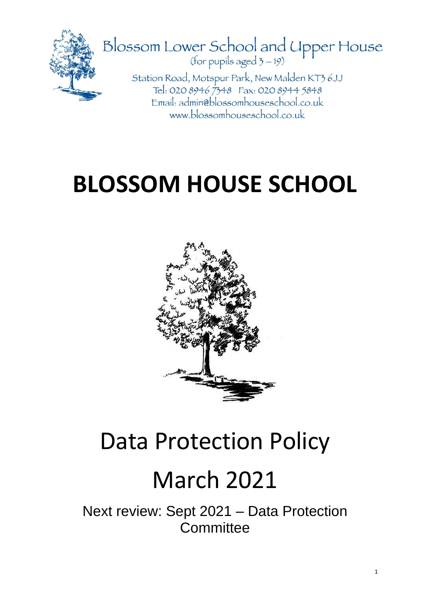

## **BLOSSOM HOUSE SCHOOL**



### Data Protection Policy

### March 2021

Next review: Sept 2021 – Data Protection **Committee**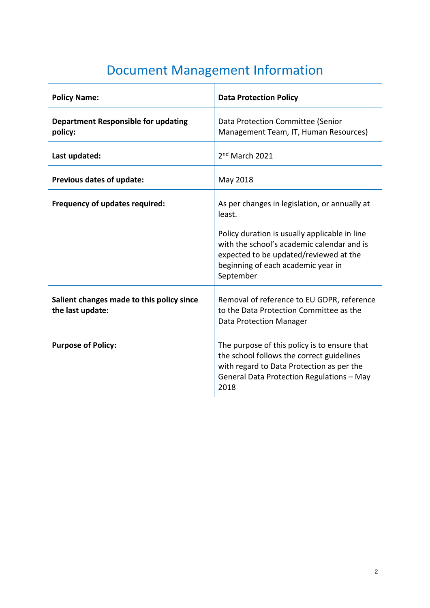### Document Management Information

| <b>Policy Name:</b>                                           | <b>Data Protection Policy</b>                                                                                                                                                               |
|---------------------------------------------------------------|---------------------------------------------------------------------------------------------------------------------------------------------------------------------------------------------|
| <b>Department Responsible for updating</b><br>policy:         | Data Protection Committee (Senior<br>Management Team, IT, Human Resources)                                                                                                                  |
| Last updated:                                                 | 2 <sup>nd</sup> March 2021                                                                                                                                                                  |
| Previous dates of update:                                     | May 2018                                                                                                                                                                                    |
| <b>Frequency of updates required:</b>                         | As per changes in legislation, or annually at<br>least.                                                                                                                                     |
|                                                               | Policy duration is usually applicable in line<br>with the school's academic calendar and is<br>expected to be updated/reviewed at the<br>beginning of each academic year in<br>September    |
| Salient changes made to this policy since<br>the last update: | Removal of reference to EU GDPR, reference<br>to the Data Protection Committee as the<br><b>Data Protection Manager</b>                                                                     |
| <b>Purpose of Policy:</b>                                     | The purpose of this policy is to ensure that<br>the school follows the correct guidelines<br>with regard to Data Protection as per the<br>General Data Protection Regulations - May<br>2018 |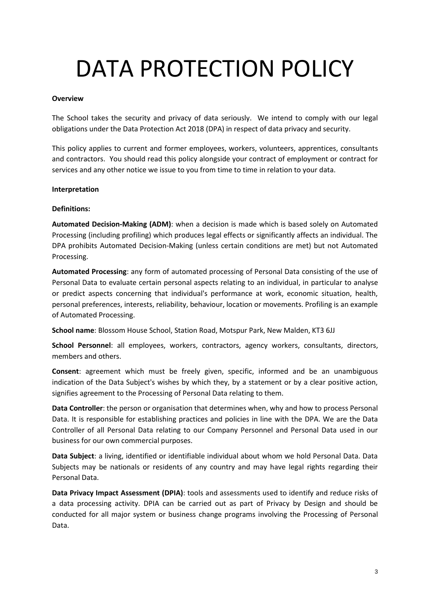# DATA PROTECTION POLICY

#### **Overview**

The School takes the security and privacy of data seriously. We intend to comply with our legal obligations under the Data Protection Act 2018 (DPA) in respect of data privacy and security.

This policy applies to current and former employees, workers, volunteers, apprentices, consultants and contractors. You should read this policy alongside your contract of employment or contract for services and any other notice we issue to you from time to time in relation to your data.

#### **Interpretation**

#### **Definitions:**

**Automated Decision-Making (ADM)**: when a decision is made which is based solely on Automated Processing (including profiling) which produces legal effects or significantly affects an individual. The DPA prohibits Automated Decision-Making (unless certain conditions are met) but not Automated Processing.

**Automated Processing**: any form of automated processing of Personal Data consisting of the use of Personal Data to evaluate certain personal aspects relating to an individual, in particular to analyse or predict aspects concerning that individual's performance at work, economic situation, health, personal preferences, interests, reliability, behaviour, location or movements. Profiling is an example of Automated Processing.

**School name**: Blossom House School, Station Road, Motspur Park, New Malden, KT3 6JJ

**School Personnel**: all employees, workers, contractors, agency workers, consultants, directors, members and others.

**Consent**: agreement which must be freely given, specific, informed and be an unambiguous indication of the Data Subject's wishes by which they, by a statement or by a clear positive action, signifies agreement to the Processing of Personal Data relating to them.

**Data Controller**: the person or organisation that determines when, why and how to process Personal Data. It is responsible for establishing practices and policies in line with the DPA. We are the Data Controller of all Personal Data relating to our Company Personnel and Personal Data used in our business for our own commercial purposes.

**Data Subject**: a living, identified or identifiable individual about whom we hold Personal Data. Data Subjects may be nationals or residents of any country and may have legal rights regarding their Personal Data.

**Data Privacy Impact Assessment (DPIA)**: tools and assessments used to identify and reduce risks of a data processing activity. DPIA can be carried out as part of Privacy by Design and should be conducted for all major system or business change programs involving the Processing of Personal Data.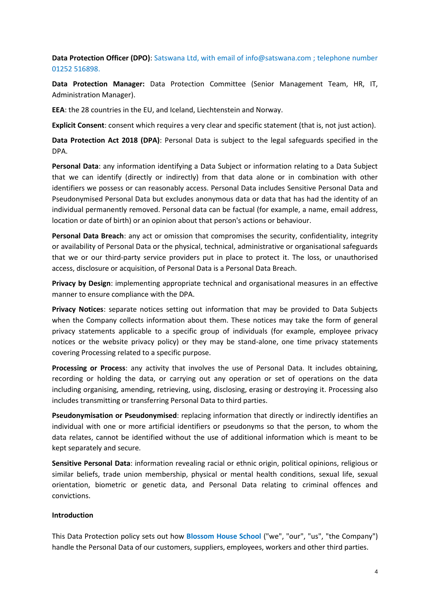**Data Protection Officer (DPO)**: Satswana Ltd, with email of info@satswana.com ; telephone number 01252 516898.

**Data Protection Manager:** Data Protection Committee (Senior Management Team, HR, IT, Administration Manager).

**EEA**: the 28 countries in the EU, and Iceland, Liechtenstein and Norway.

**Explicit Consent**: consent which requires a very clear and specific statement (that is, not just action).

**Data Protection Act 2018 (DPA)**: Personal Data is subject to the legal safeguards specified in the DPA.

**Personal Data**: any information identifying a Data Subject or information relating to a Data Subject that we can identify (directly or indirectly) from that data alone or in combination with other identifiers we possess or can reasonably access. Personal Data includes Sensitive Personal Data and Pseudonymised Personal Data but excludes anonymous data or data that has had the identity of an individual permanently removed. Personal data can be factual (for example, a name, email address, location or date of birth) or an opinion about that person's actions or behaviour.

**Personal Data Breach**: any act or omission that compromises the security, confidentiality, integrity or availability of Personal Data or the physical, technical, administrative or organisational safeguards that we or our third-party service providers put in place to protect it. The loss, or unauthorised access, disclosure or acquisition, of Personal Data is a Personal Data Breach.

**Privacy by Design**: implementing appropriate technical and organisational measures in an effective manner to ensure compliance with the DPA.

**Privacy Notices**: separate notices setting out information that may be provided to Data Subjects when the Company collects information about them. These notices may take the form of general privacy statements applicable to a specific group of individuals (for example, employee privacy notices or the website privacy policy) or they may be stand-alone, one time privacy statements covering Processing related to a specific purpose.

**Processing or Process**: any activity that involves the use of Personal Data. It includes obtaining, recording or holding the data, or carrying out any operation or set of operations on the data including organising, amending, retrieving, using, disclosing, erasing or destroying it. Processing also includes transmitting or transferring Personal Data to third parties.

**Pseudonymisation or Pseudonymised**: replacing information that directly or indirectly identifies an individual with one or more artificial identifiers or pseudonyms so that the person, to whom the data relates, cannot be identified without the use of additional information which is meant to be kept separately and secure.

**Sensitive Personal Data**: information revealing racial or ethnic origin, political opinions, religious or similar beliefs, trade union membership, physical or mental health conditions, sexual life, sexual orientation, biometric or genetic data, and Personal Data relating to criminal offences and convictions.

#### **Introduction**

This Data Protection policy sets out how **Blossom House School** ("we", "our", "us", "the Company") handle the Personal Data of our customers, suppliers, employees, workers and other third parties.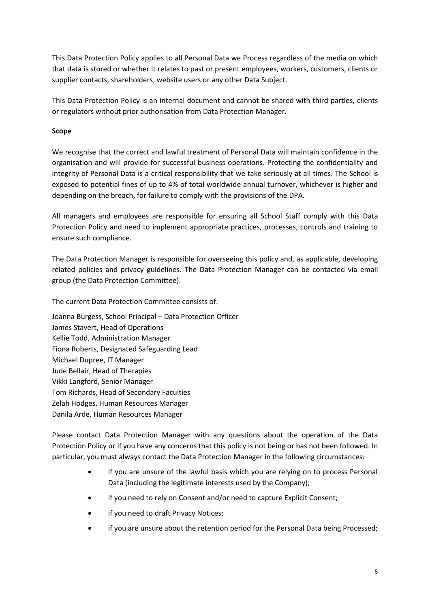This Data Protection Policy applies to all Personal Data we Process regardless of the media on which that data is stored or whether it relates to past or present employees, workers, customers, clients or supplier contacts, shareholders, website users or any other Data Subject.

This Data Protection Policy is an internal document and cannot be shared with third parties, clients or regulators without prior authorisation from Data Protection Manager.

#### **Scope**

We recognise that the correct and lawful treatment of Personal Data will maintain confidence in the organisation and will provide for successful business operations. Protecting the confidentiality and integrity of Personal Data is a critical responsibility that we take seriously at all times. The School is exposed to potential fines of up to 4% of total worldwide annual turnover, whichever is higher and depending on the breach, for failure to comply with the provisions of the DPA.

All managers and employees are responsible for ensuring all School Staff comply with this Data Protection Policy and need to implement appropriate practices, processes, controls and training to ensure such compliance.

The Data Protection Manager is responsible for overseeing this policy and, as applicable, developing related policies and privacy guidelines. The Data Protection Manager can be contacted via email group (the Data Protection Committee).

The current Data Protection Committee consists of:

Joanna Burgess, School Principal – Data Protection Officer James Stavert, Head of Operations Kellie Todd, Administration Manager Fiona Roberts, Designated Safeguarding Lead Michael Dupree, IT Manager Jude Bellair, Head of Therapies Vikki Langford, Senior Manager Tom Richards, Head of Secondary Faculties Zelah Hodges, Human Resources Manager Danila Arde, Human Resources Manager

Please contact Data Protection Manager with any questions about the operation of the Data Protection Policy or if you have any concerns that this policy is not being or has not been followed. In particular, you must always contact the Data Protection Manager in the following circumstances:

- if you are unsure of the lawful basis which you are relying on to process Personal Data (including the legitimate interests used by the Company);
- if you need to rely on Consent and/or need to capture Explicit Consent;
- if you need to draft Privacy Notices;
- if you are unsure about the retention period for the Personal Data being Processed;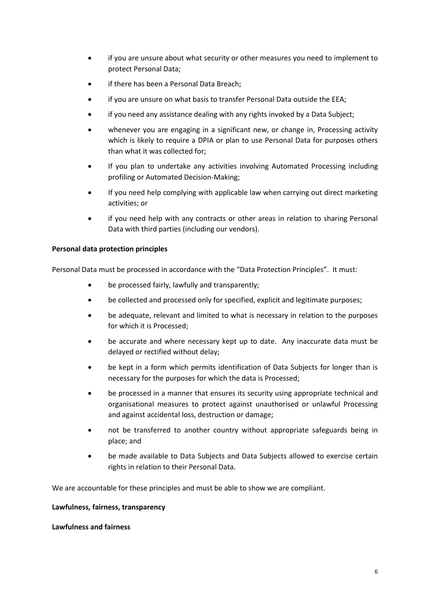- if you are unsure about what security or other measures you need to implement to protect Personal Data;
- if there has been a Personal Data Breach;
- if you are unsure on what basis to transfer Personal Data outside the EEA;
- if you need any assistance dealing with any rights invoked by a Data Subject;
- whenever you are engaging in a significant new, or change in, Processing activity which is likely to require a DPIA or plan to use Personal Data for purposes others than what it was collected for;
- If you plan to undertake any activities involving Automated Processing including profiling or Automated Decision-Making;
- If you need help complying with applicable law when carrying out direct marketing activities; or
- if you need help with any contracts or other areas in relation to sharing Personal Data with third parties (including our vendors).

#### **Personal data protection principles**

Personal Data must be processed in accordance with the "Data Protection Principles". It must:

- be processed fairly, lawfully and transparently;
- be collected and processed only for specified, explicit and legitimate purposes;
- be adequate, relevant and limited to what is necessary in relation to the purposes for which it is Processed;
- be accurate and where necessary kept up to date. Any inaccurate data must be delayed or rectified without delay;
- be kept in a form which permits identification of Data Subjects for longer than is necessary for the purposes for which the data is Processed;
- be processed in a manner that ensures its security using appropriate technical and organisational measures to protect against unauthorised or unlawful Processing and against accidental loss, destruction or damage;
- not be transferred to another country without appropriate safeguards being in place; and
- be made available to Data Subjects and Data Subjects allowed to exercise certain rights in relation to their Personal Data.

We are accountable for these principles and must be able to show we are compliant.

#### **Lawfulness, fairness, transparency**

#### **Lawfulness and fairness**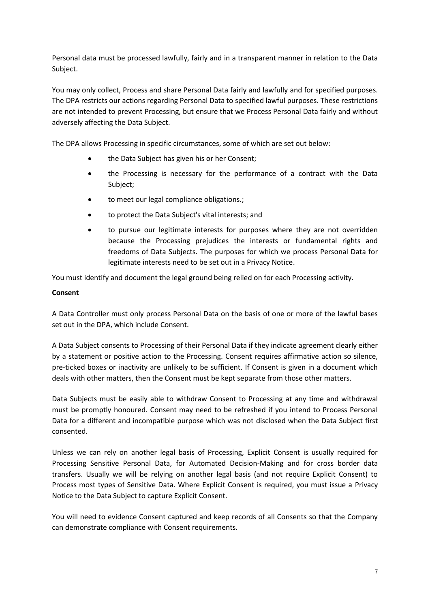Personal data must be processed lawfully, fairly and in a transparent manner in relation to the Data Subject.

You may only collect, Process and share Personal Data fairly and lawfully and for specified purposes. The DPA restricts our actions regarding Personal Data to specified lawful purposes. These restrictions are not intended to prevent Processing, but ensure that we Process Personal Data fairly and without adversely affecting the Data Subject.

The DPA allows Processing in specific circumstances, some of which are set out below:

- the Data Subject has given his or her Consent;
- the Processing is necessary for the performance of a contract with the Data Subject;
- to meet our legal compliance obligations.;
- to protect the Data Subject's vital interests; and
- to pursue our legitimate interests for purposes where they are not overridden because the Processing prejudices the interests or fundamental rights and freedoms of Data Subjects. The purposes for which we process Personal Data for legitimate interests need to be set out in a Privacy Notice.

You must identify and document the legal ground being relied on for each Processing activity.

#### **Consent**

A Data Controller must only process Personal Data on the basis of one or more of the lawful bases set out in the DPA, which include Consent.

A Data Subject consents to Processing of their Personal Data if they indicate agreement clearly either by a statement or positive action to the Processing. Consent requires affirmative action so silence, pre-ticked boxes or inactivity are unlikely to be sufficient. If Consent is given in a document which deals with other matters, then the Consent must be kept separate from those other matters.

Data Subjects must be easily able to withdraw Consent to Processing at any time and withdrawal must be promptly honoured. Consent may need to be refreshed if you intend to Process Personal Data for a different and incompatible purpose which was not disclosed when the Data Subject first consented.

Unless we can rely on another legal basis of Processing, Explicit Consent is usually required for Processing Sensitive Personal Data, for Automated Decision-Making and for cross border data transfers. Usually we will be relying on another legal basis (and not require Explicit Consent) to Process most types of Sensitive Data. Where Explicit Consent is required, you must issue a Privacy Notice to the Data Subject to capture Explicit Consent.

You will need to evidence Consent captured and keep records of all Consents so that the Company can demonstrate compliance with Consent requirements.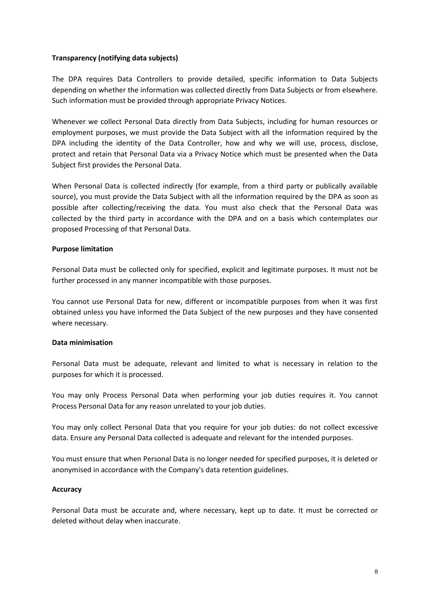#### **Transparency (notifying data subjects)**

The DPA requires Data Controllers to provide detailed, specific information to Data Subjects depending on whether the information was collected directly from Data Subjects or from elsewhere. Such information must be provided through appropriate Privacy Notices.

Whenever we collect Personal Data directly from Data Subjects, including for human resources or employment purposes, we must provide the Data Subject with all the information required by the DPA including the identity of the Data Controller, how and why we will use, process, disclose, protect and retain that Personal Data via a Privacy Notice which must be presented when the Data Subject first provides the Personal Data.

When Personal Data is collected indirectly (for example, from a third party or publically available source), you must provide the Data Subject with all the information required by the DPA as soon as possible after collecting/receiving the data. You must also check that the Personal Data was collected by the third party in accordance with the DPA and on a basis which contemplates our proposed Processing of that Personal Data.

#### **Purpose limitation**

Personal Data must be collected only for specified, explicit and legitimate purposes. It must not be further processed in any manner incompatible with those purposes.

You cannot use Personal Data for new, different or incompatible purposes from when it was first obtained unless you have informed the Data Subject of the new purposes and they have consented where necessary.

#### **Data minimisation**

Personal Data must be adequate, relevant and limited to what is necessary in relation to the purposes for which it is processed.

You may only Process Personal Data when performing your job duties requires it. You cannot Process Personal Data for any reason unrelated to your job duties.

You may only collect Personal Data that you require for your job duties: do not collect excessive data. Ensure any Personal Data collected is adequate and relevant for the intended purposes.

You must ensure that when Personal Data is no longer needed for specified purposes, it is deleted or anonymised in accordance with the Company's data retention guidelines.

#### **Accuracy**

Personal Data must be accurate and, where necessary, kept up to date. It must be corrected or deleted without delay when inaccurate.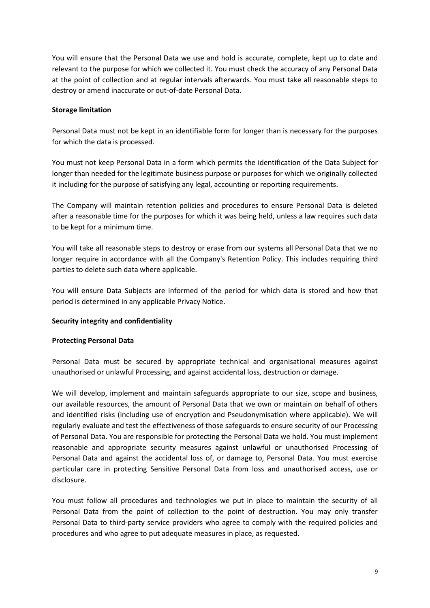You will ensure that the Personal Data we use and hold is accurate, complete, kept up to date and relevant to the purpose for which we collected it. You must check the accuracy of any Personal Data at the point of collection and at regular intervals afterwards. You must take all reasonable steps to destroy or amend inaccurate or out-of-date Personal Data.

#### **Storage limitation**

Personal Data must not be kept in an identifiable form for longer than is necessary for the purposes for which the data is processed.

You must not keep Personal Data in a form which permits the identification of the Data Subject for longer than needed for the legitimate business purpose or purposes for which we originally collected it including for the purpose of satisfying any legal, accounting or reporting requirements.

The Company will maintain retention policies and procedures to ensure Personal Data is deleted after a reasonable time for the purposes for which it was being held, unless a law requires such data to be kept for a minimum time.

You will take all reasonable steps to destroy or erase from our systems all Personal Data that we no longer require in accordance with all the Company's Retention Policy. This includes requiring third parties to delete such data where applicable.

You will ensure Data Subjects are informed of the period for which data is stored and how that period is determined in any applicable Privacy Notice.

#### **Security integrity and confidentiality**

#### **Protecting Personal Data**

Personal Data must be secured by appropriate technical and organisational measures against unauthorised or unlawful Processing, and against accidental loss, destruction or damage.

We will develop, implement and maintain safeguards appropriate to our size, scope and business, our available resources, the amount of Personal Data that we own or maintain on behalf of others and identified risks (including use of encryption and Pseudonymisation where applicable). We will regularly evaluate and test the effectiveness of those safeguards to ensure security of our Processing of Personal Data. You are responsible for protecting the Personal Data we hold. You must implement reasonable and appropriate security measures against unlawful or unauthorised Processing of Personal Data and against the accidental loss of, or damage to, Personal Data. You must exercise particular care in protecting Sensitive Personal Data from loss and unauthorised access, use or disclosure.

You must follow all procedures and technologies we put in place to maintain the security of all Personal Data from the point of collection to the point of destruction. You may only transfer Personal Data to third-party service providers who agree to comply with the required policies and procedures and who agree to put adequate measures in place, as requested.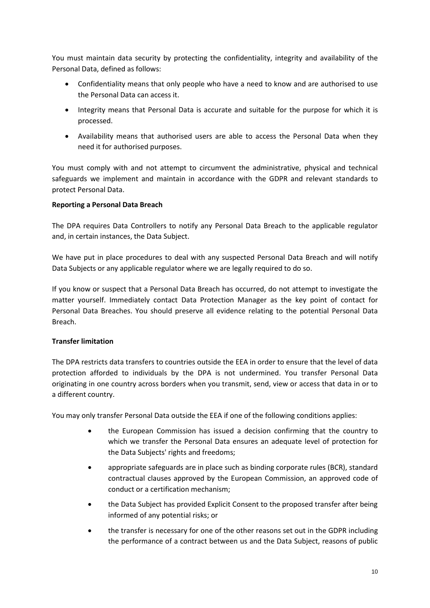You must maintain data security by protecting the confidentiality, integrity and availability of the Personal Data, defined as follows:

- Confidentiality means that only people who have a need to know and are authorised to use the Personal Data can access it.
- Integrity means that Personal Data is accurate and suitable for the purpose for which it is processed.
- Availability means that authorised users are able to access the Personal Data when they need it for authorised purposes.

You must comply with and not attempt to circumvent the administrative, physical and technical safeguards we implement and maintain in accordance with the GDPR and relevant standards to protect Personal Data.

#### **Reporting a Personal Data Breach**

The DPA requires Data Controllers to notify any Personal Data Breach to the applicable regulator and, in certain instances, the Data Subject.

We have put in place procedures to deal with any suspected Personal Data Breach and will notify Data Subjects or any applicable regulator where we are legally required to do so.

If you know or suspect that a Personal Data Breach has occurred, do not attempt to investigate the matter yourself. Immediately contact Data Protection Manager as the key point of contact for Personal Data Breaches. You should preserve all evidence relating to the potential Personal Data Breach.

#### **Transfer limitation**

The DPA restricts data transfers to countries outside the EEA in order to ensure that the level of data protection afforded to individuals by the DPA is not undermined. You transfer Personal Data originating in one country across borders when you transmit, send, view or access that data in or to a different country.

You may only transfer Personal Data outside the EEA if one of the following conditions applies:

- the European Commission has issued a decision confirming that the country to which we transfer the Personal Data ensures an adequate level of protection for the Data Subjects' rights and freedoms;
- appropriate safeguards are in place such as binding corporate rules (BCR), standard contractual clauses approved by the European Commission, an approved code of conduct or a certification mechanism;
- the Data Subject has provided Explicit Consent to the proposed transfer after being informed of any potential risks; or
- the transfer is necessary for one of the other reasons set out in the GDPR including the performance of a contract between us and the Data Subject, reasons of public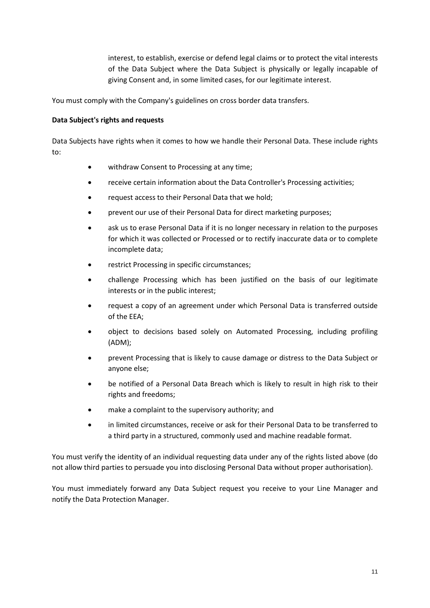interest, to establish, exercise or defend legal claims or to protect the vital interests of the Data Subject where the Data Subject is physically or legally incapable of giving Consent and, in some limited cases, for our legitimate interest.

You must comply with the Company's guidelines on cross border data transfers.

#### **Data Subject's rights and requests**

Data Subjects have rights when it comes to how we handle their Personal Data. These include rights to:

- withdraw Consent to Processing at any time;
- receive certain information about the Data Controller's Processing activities;
- request access to their Personal Data that we hold;
- prevent our use of their Personal Data for direct marketing purposes;
- ask us to erase Personal Data if it is no longer necessary in relation to the purposes for which it was collected or Processed or to rectify inaccurate data or to complete incomplete data;
- restrict Processing in specific circumstances;
- challenge Processing which has been justified on the basis of our legitimate interests or in the public interest;
- request a copy of an agreement under which Personal Data is transferred outside of the EEA;
- object to decisions based solely on Automated Processing, including profiling (ADM);
- prevent Processing that is likely to cause damage or distress to the Data Subject or anyone else;
- be notified of a Personal Data Breach which is likely to result in high risk to their rights and freedoms;
- make a complaint to the supervisory authority; and
- in limited circumstances, receive or ask for their Personal Data to be transferred to a third party in a structured, commonly used and machine readable format.

You must verify the identity of an individual requesting data under any of the rights listed above (do not allow third parties to persuade you into disclosing Personal Data without proper authorisation).

You must immediately forward any Data Subject request you receive to your Line Manager and notify the Data Protection Manager.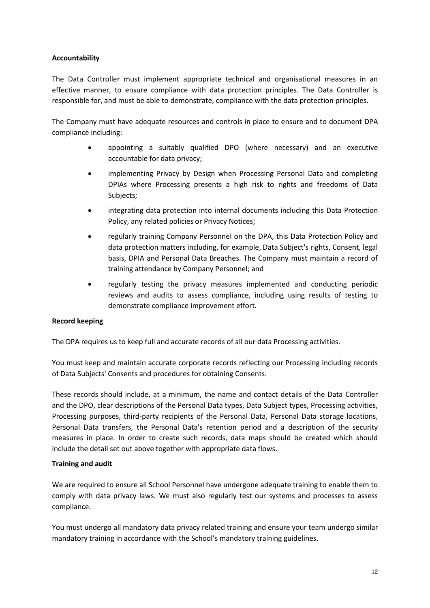#### **Accountability**

The Data Controller must implement appropriate technical and organisational measures in an effective manner, to ensure compliance with data protection principles. The Data Controller is responsible for, and must be able to demonstrate, compliance with the data protection principles.

The Company must have adequate resources and controls in place to ensure and to document DPA compliance including:

- appointing a suitably qualified DPO (where necessary) and an executive accountable for data privacy;
- implementing Privacy by Design when Processing Personal Data and completing DPIAs where Processing presents a high risk to rights and freedoms of Data Subjects;
- integrating data protection into internal documents including this Data Protection Policy, any related policies or Privacy Notices;
- regularly training Company Personnel on the DPA, this Data Protection Policy and data protection matters including, for example, Data Subject's rights, Consent, legal basis, DPIA and Personal Data Breaches. The Company must maintain a record of training attendance by Company Personnel; and
- regularly testing the privacy measures implemented and conducting periodic reviews and audits to assess compliance, including using results of testing to demonstrate compliance improvement effort.

#### **Record keeping**

The DPA requires us to keep full and accurate records of all our data Processing activities.

You must keep and maintain accurate corporate records reflecting our Processing including records of Data Subjects' Consents and procedures for obtaining Consents.

These records should include, at a minimum, the name and contact details of the Data Controller and the DPO, clear descriptions of the Personal Data types, Data Subject types, Processing activities, Processing purposes, third-party recipients of the Personal Data, Personal Data storage locations, Personal Data transfers, the Personal Data's retention period and a description of the security measures in place. In order to create such records, data maps should be created which should include the detail set out above together with appropriate data flows.

#### **Training and audit**

We are required to ensure all School Personnel have undergone adequate training to enable them to comply with data privacy laws. We must also regularly test our systems and processes to assess compliance.

You must undergo all mandatory data privacy related training and ensure your team undergo similar mandatory training in accordance with the School's mandatory training guidelines.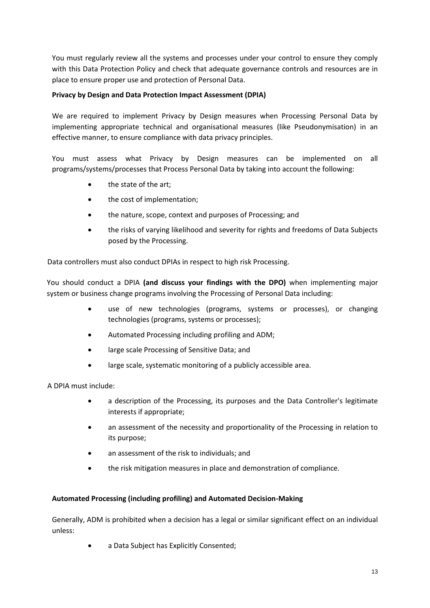You must regularly review all the systems and processes under your control to ensure they comply with this Data Protection Policy and check that adequate governance controls and resources are in place to ensure proper use and protection of Personal Data.

#### **Privacy by Design and Data Protection Impact Assessment (DPIA)**

We are required to implement Privacy by Design measures when Processing Personal Data by implementing appropriate technical and organisational measures (like Pseudonymisation) in an effective manner, to ensure compliance with data privacy principles.

You must assess what Privacy by Design measures can be implemented on all programs/systems/processes that Process Personal Data by taking into account the following:

- the state of the art;
- the cost of implementation;
- the nature, scope, context and purposes of Processing; and
- the risks of varying likelihood and severity for rights and freedoms of Data Subjects posed by the Processing.

Data controllers must also conduct DPIAs in respect to high risk Processing.

You should conduct a DPIA **(and discuss your findings with the DPO)** when implementing major system or business change programs involving the Processing of Personal Data including:

- use of new technologies (programs, systems or processes), or changing technologies (programs, systems or processes);
- Automated Processing including profiling and ADM;
- large scale Processing of Sensitive Data; and
- large scale, systematic monitoring of a publicly accessible area.

A DPIA must include:

- a description of the Processing, its purposes and the Data Controller's legitimate interests if appropriate;
- an assessment of the necessity and proportionality of the Processing in relation to its purpose;
- an assessment of the risk to individuals; and
- the risk mitigation measures in place and demonstration of compliance.

#### **Automated Processing (including profiling) and Automated Decision-Making**

Generally, ADM is prohibited when a decision has a legal or similar significant effect on an individual unless:

• a Data Subject has Explicitly Consented;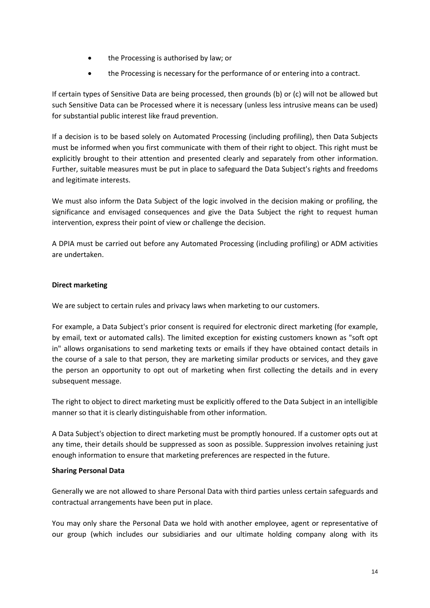- the Processing is authorised by law; or
- the Processing is necessary for the performance of or entering into a contract.

If certain types of Sensitive Data are being processed, then grounds (b) or (c) will not be allowed but such Sensitive Data can be Processed where it is necessary (unless less intrusive means can be used) for substantial public interest like fraud prevention.

If a decision is to be based solely on Automated Processing (including profiling), then Data Subjects must be informed when you first communicate with them of their right to object. This right must be explicitly brought to their attention and presented clearly and separately from other information. Further, suitable measures must be put in place to safeguard the Data Subject's rights and freedoms and legitimate interests.

We must also inform the Data Subject of the logic involved in the decision making or profiling, the significance and envisaged consequences and give the Data Subject the right to request human intervention, express their point of view or challenge the decision.

A DPIA must be carried out before any Automated Processing (including profiling) or ADM activities are undertaken.

#### **Direct marketing**

We are subject to certain rules and privacy laws when marketing to our customers.

For example, a Data Subject's prior consent is required for electronic direct marketing (for example, by email, text or automated calls). The limited exception for existing customers known as "soft opt in" allows organisations to send marketing texts or emails if they have obtained contact details in the course of a sale to that person, they are marketing similar products or services, and they gave the person an opportunity to opt out of marketing when first collecting the details and in every subsequent message.

The right to object to direct marketing must be explicitly offered to the Data Subject in an intelligible manner so that it is clearly distinguishable from other information.

A Data Subject's objection to direct marketing must be promptly honoured. If a customer opts out at any time, their details should be suppressed as soon as possible. Suppression involves retaining just enough information to ensure that marketing preferences are respected in the future.

#### **Sharing Personal Data**

Generally we are not allowed to share Personal Data with third parties unless certain safeguards and contractual arrangements have been put in place.

You may only share the Personal Data we hold with another employee, agent or representative of our group (which includes our subsidiaries and our ultimate holding company along with its